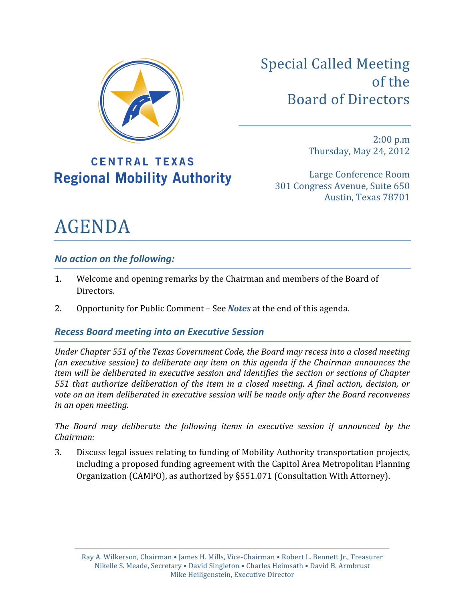

Special
Called
Meeting of the Board
of
Directors

## **CENTRAL TEXAS Regional Mobility Authority**

2:00
p.m Thursday,
May
24,
2012

Large
Conference
Room 301
Congress
Avenue,
Suite
650 Austin,
Texas
78701

# AGENDA

### *No
action
on
the
following:*

- 1. Welcome
and
opening
remarks
by
the
Chairman
and
members
of
the
Board
of Directors.
- 2. Opportunity
for
Public
Comment
–
See *Notes*at
the
end
of
this
agenda.

### *Recess
Board
meeting
into
an
Executive
Session*

Under Chapter 551 of the Texas Government Code, the Board may recess into a closed meeting (an executive session) to deliberate any item on this agenda if the Chairman announces the item will be deliberated in executive session and identifies the section or sections of Chapter 551 that authorize deliberation of the item in a closed meeting. A final action, decision, or vote on an item deliberated in executive session will be made only after the Board reconvenes *in
an
open
meeting.*

The Board may deliberate the following items in executive session if announced by the *Chairman:*

3. Discuss
legal
issues
relating
to
funding
of
Mobility
Authority
transportation
projects, including
a
proposed
funding
agreement
with
the
Capitol
Area
Metropolitan
Planning Organization
(CAMPO),
as
authorized
by
§551.071
(Consultation
With
Attorney).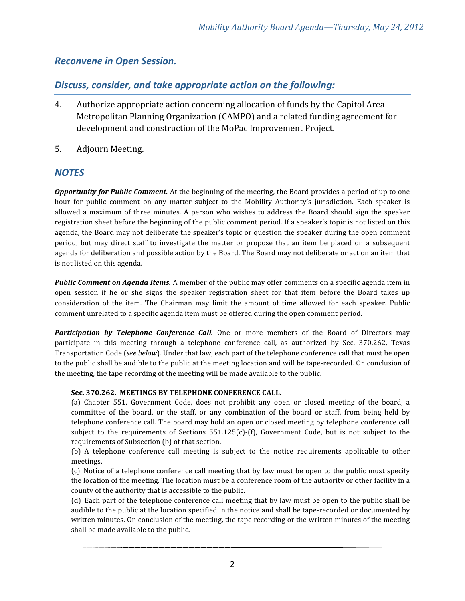#### *Reconvene
in
Open
Session.*

#### *Discuss,
consider,
and
take
appropriate
action
on
the
following:*

- 4. Authorize
appropriate
action
concerning
allocation
of
funds
by
the
Capitol
Area Metropolitan
Planning
Organization
(CAMPO)
and
a
related
funding
agreement
for development
and
construction
of
the
MoPac
Improvement
Project.
- 5. Adjourn Meeting.

#### *NOTES*

**Opportunity for Public Comment.** At the beginning of the meeting, the Board provides a period of up to one hour for public comment on any matter subject to the Mobility Authority's jurisdiction. Each speaker is allowed
 a
maximum
 of
 three
minutes.
 A
 person
who
wishes
 to
 address
 the
 Board should
 sign
 the
 speaker registration sheet before the beginning of the public comment period. If a speaker's topic is not listed on this agenda, the Board may not deliberate the speaker's topic or question the speaker during the open comment period,
 but
 may
 direct
 staff
 to
 investigate
 the matter or
 propose
 that
 an
 item
 be
 placed
 on
 a
 subsequent agenda for deliberation and possible action by the Board. The Board may not deliberate or act on an item that is
not
listed
on
this
agenda.

**Public Comment on Agenda Items.** A member of the public may offer comments on a specific agenda item in open session if he or she signs the speaker registration sheet for that item before the Board takes up consideration of the item. The Chairman may limit the amount of time allowed for each speaker. Public comment
unrelated
to
a
specific
agenda
item
must
be
offered
during
the
open
comment
period.

Participation by Telephone Conference Call. One or more members of the Board of Directors may participate in this meeting through a telephone conference call, as authorized by Sec. 370.262, Texas Transportation Code (see below). Under that law, each part of the telephone conference call that must be open to the public shall be audible to the public at the meeting location and will be tape-recorded. On conclusion of the
meeting,
the
tape
recording
of
the
meeting
will
be
made
available
to
the
public.

#### **Sec. 370.262. MEETINGS
BY
TELEPHONE
CONFERENCE
CALL.**

(a) Chapter 551, Government Code, does not prohibit any open or closed meeting of the board, a committee of the board, or the staff, or any combination of the board or staff, from being held by telephone conference call. The board may hold an open or closed meeting by telephone conference call subject to the requirements of Sections  $551.125(c)$ -(f), Government Code, but is not subject to the requirements
of
Subsection
(b)
of
that
section.

(b) A telephone conference call meeting is subject to the notice requirements applicable to other meetings.

(c) Notice
of
a
 telephone
conference
call
meeting
that
by
law
must
be
open
 to
 the
public
must
specify the location of the meeting. The location must be a conference room of the authority or other facility in a county
of
the
authority
that
is
accessible
to
the
public.

(d) Each part of the telephone conference call meeting that by law must be open to the public shall be audible to the public at the location specified in the notice and shall be tape-recorded or documented by written minutes. On conclusion of the meeting, the tape recording or the written minutes of the meeting shall
be
made
available
to
the
public.